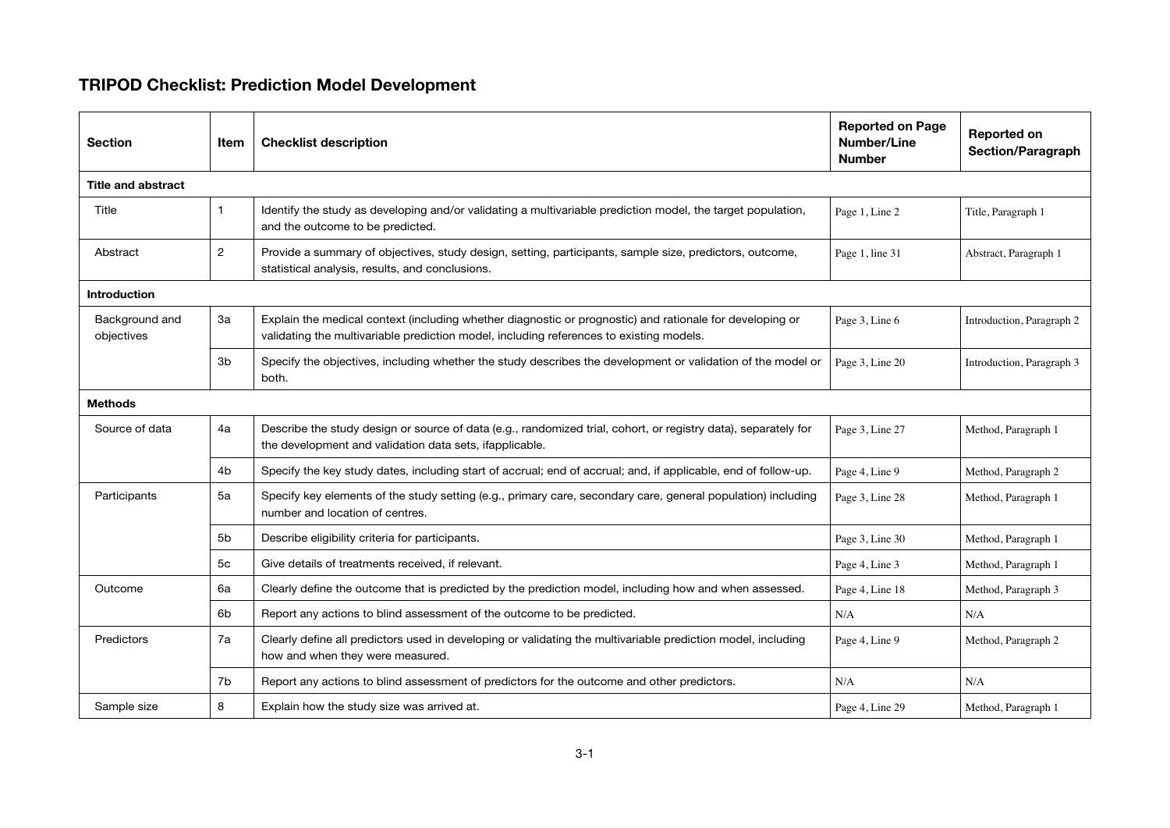## TRIPOD Checklist: Prediction Model Development

| <b>Section</b>               | Item           | <b>Checklist description</b>                                                                                                                                                                        | <b>Reported on Page</b><br>Number/Line<br><b>Number</b> | <b>Reported on</b><br><b>Section/Paragraph</b> |  |  |  |
|------------------------------|----------------|-----------------------------------------------------------------------------------------------------------------------------------------------------------------------------------------------------|---------------------------------------------------------|------------------------------------------------|--|--|--|
| <b>Title and abstract</b>    |                |                                                                                                                                                                                                     |                                                         |                                                |  |  |  |
| Title                        | $\mathbf{1}$   | Identify the study as developing and/or validating a multivariable prediction model, the target population,<br>and the outcome to be predicted.                                                     | Page 1, Line 2                                          | Title, Paragraph 1                             |  |  |  |
| Abstract                     | $\overline{2}$ | Provide a summary of objectives, study design, setting, participants, sample size, predictors, outcome,<br>statistical analysis, results, and conclusions.                                          | Page 1, line 31                                         | Abstract, Paragraph 1                          |  |  |  |
| <b>Introduction</b>          |                |                                                                                                                                                                                                     |                                                         |                                                |  |  |  |
| Background and<br>objectives | 3a             | Explain the medical context (including whether diagnostic or prognostic) and rationale for developing or<br>validating the multivariable prediction model, including references to existing models. | Page 3, Line 6                                          | Introduction, Paragraph 2                      |  |  |  |
|                              | 3 <sub>b</sub> | Specify the objectives, including whether the study describes the development or validation of the model or<br>both.                                                                                | Page 3, Line 20                                         | Introduction, Paragraph 3                      |  |  |  |
| <b>Methods</b>               |                |                                                                                                                                                                                                     |                                                         |                                                |  |  |  |
| Source of data               | 4a             | Describe the study design or source of data (e.g., randomized trial, cohort, or registry data), separately for<br>the development and validation data sets, ifapplicable.                           | Page 3, Line 27                                         | Method, Paragraph 1                            |  |  |  |
|                              | 4b             | Specify the key study dates, including start of accrual; end of accrual; and, if applicable, end of follow-up.                                                                                      | Page 4, Line 9                                          | Method, Paragraph 2                            |  |  |  |
| Participants                 | 5a             | Specify key elements of the study setting (e.g., primary care, secondary care, general population) including<br>number and location of centres.                                                     | Page 3, Line 28                                         | Method, Paragraph 1                            |  |  |  |
|                              | 5b             | Describe eligibility criteria for participants.                                                                                                                                                     | Page 3, Line 30                                         | Method, Paragraph 1                            |  |  |  |
|                              | 5c             | Give details of treatments received, if relevant.                                                                                                                                                   | Page 4, Line 3                                          | Method, Paragraph 1                            |  |  |  |
| Outcome                      | 6a             | Clearly define the outcome that is predicted by the prediction model, including how and when assessed.                                                                                              | Page 4, Line 18                                         | Method, Paragraph 3                            |  |  |  |
|                              | 6b             | Report any actions to blind assessment of the outcome to be predicted.                                                                                                                              | N/A                                                     | N/A                                            |  |  |  |
| Predictors                   | 7a             | Clearly define all predictors used in developing or validating the multivariable prediction model, including<br>how and when they were measured.                                                    | Page 4, Line 9                                          | Method, Paragraph 2                            |  |  |  |
|                              | 7b             | Report any actions to blind assessment of predictors for the outcome and other predictors.                                                                                                          | N/A                                                     | N/A                                            |  |  |  |
| Sample size                  | 8              | Explain how the study size was arrived at.                                                                                                                                                          | Page 4, Line 29                                         | Method, Paragraph 1                            |  |  |  |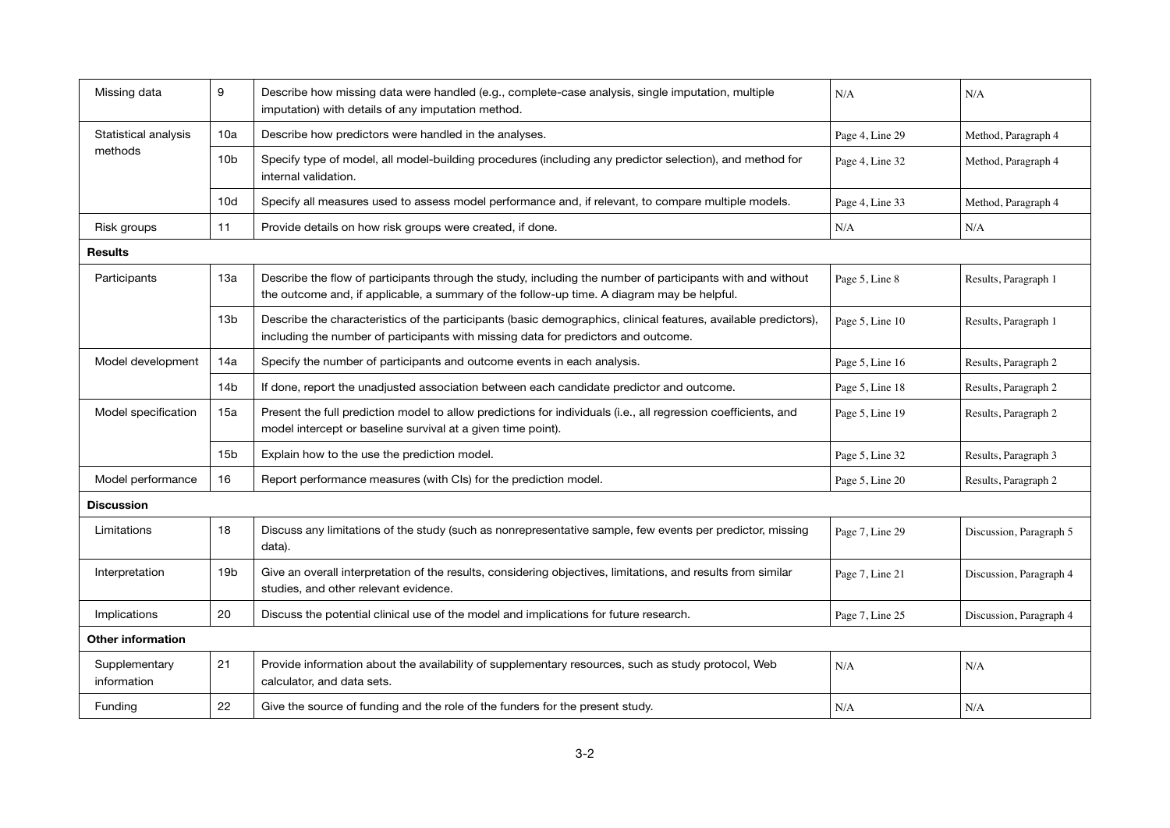| Missing data                    | 9               | Describe how missing data were handled (e.g., complete-case analysis, single imputation, multiple<br>imputation) with details of any imputation method.                                                  | N/A             | N/A                     |  |  |  |  |
|---------------------------------|-----------------|----------------------------------------------------------------------------------------------------------------------------------------------------------------------------------------------------------|-----------------|-------------------------|--|--|--|--|
| Statistical analysis<br>methods | 10a             | Describe how predictors were handled in the analyses.                                                                                                                                                    | Page 4, Line 29 | Method, Paragraph 4     |  |  |  |  |
|                                 | 10 <sub>b</sub> | Specify type of model, all model-building procedures (including any predictor selection), and method for<br>internal validation.                                                                         | Page 4, Line 32 | Method, Paragraph 4     |  |  |  |  |
|                                 | 10d             | Specify all measures used to assess model performance and, if relevant, to compare multiple models.                                                                                                      | Page 4, Line 33 | Method, Paragraph 4     |  |  |  |  |
| Risk groups                     | 11              | Provide details on how risk groups were created, if done.                                                                                                                                                | N/A             | N/A                     |  |  |  |  |
| <b>Results</b>                  |                 |                                                                                                                                                                                                          |                 |                         |  |  |  |  |
| Participants                    | 13a             | Describe the flow of participants through the study, including the number of participants with and without<br>the outcome and, if applicable, a summary of the follow-up time. A diagram may be helpful. | Page 5, Line 8  | Results, Paragraph 1    |  |  |  |  |
|                                 | 13 <sub>b</sub> | Describe the characteristics of the participants (basic demographics, clinical features, available predictors),<br>including the number of participants with missing data for predictors and outcome.    | Page 5, Line 10 | Results, Paragraph 1    |  |  |  |  |
| Model development               | 14a             | Specify the number of participants and outcome events in each analysis.                                                                                                                                  | Page 5, Line 16 | Results, Paragraph 2    |  |  |  |  |
|                                 | 14 <sub>b</sub> | If done, report the unadjusted association between each candidate predictor and outcome.                                                                                                                 | Page 5, Line 18 | Results, Paragraph 2    |  |  |  |  |
| Model specification             | 15a             | Present the full prediction model to allow predictions for individuals (i.e., all regression coefficients, and<br>model intercept or baseline survival at a given time point).                           | Page 5, Line 19 | Results, Paragraph 2    |  |  |  |  |
|                                 | 15 <sub>b</sub> | Explain how to the use the prediction model.                                                                                                                                                             | Page 5, Line 32 | Results, Paragraph 3    |  |  |  |  |
| Model performance               | 16              | Report performance measures (with CIs) for the prediction model.                                                                                                                                         | Page 5, Line 20 | Results, Paragraph 2    |  |  |  |  |
| <b>Discussion</b>               |                 |                                                                                                                                                                                                          |                 |                         |  |  |  |  |
| Limitations                     | 18              | Discuss any limitations of the study (such as nonrepresentative sample, few events per predictor, missing<br>data).                                                                                      | Page 7, Line 29 | Discussion, Paragraph 5 |  |  |  |  |
| Interpretation                  | 19 <sub>b</sub> | Give an overall interpretation of the results, considering objectives, limitations, and results from similar<br>studies, and other relevant evidence.                                                    | Page 7, Line 21 | Discussion, Paragraph 4 |  |  |  |  |
| Implications                    | 20              | Discuss the potential clinical use of the model and implications for future research.                                                                                                                    | Page 7, Line 25 | Discussion, Paragraph 4 |  |  |  |  |
| Other information               |                 |                                                                                                                                                                                                          |                 |                         |  |  |  |  |
| Supplementary<br>information    | 21              | Provide information about the availability of supplementary resources, such as study protocol, Web<br>calculator, and data sets.                                                                         | N/A             | N/A                     |  |  |  |  |
| Funding                         | 22              | Give the source of funding and the role of the funders for the present study.                                                                                                                            | N/A             | N/A                     |  |  |  |  |